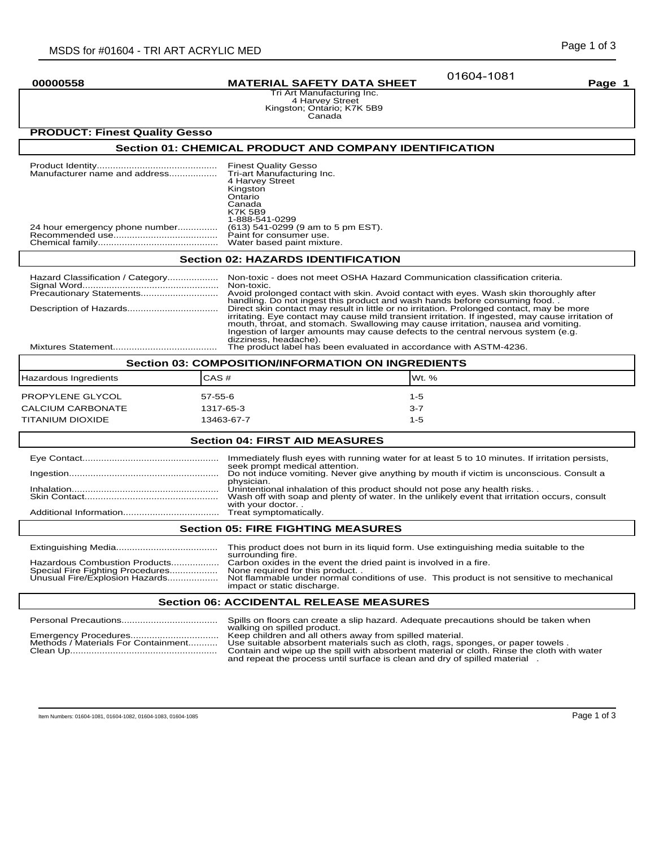01604-1081

**00000558 MATERIAL SAFETY DATA SHEET Page 1**

Tri Art Manufacturing Inc. 4 Harvey Street Kingston; Ontario; K7K 5B9 Canada

# **PRODUCT: Finest Quality Gesso**

## **Section 01: CHEMICAL PRODUCT AND COMPANY IDENTIFICATION**

| Manufacturer name and address<br>Kingston<br>Ontario<br>Canada<br><b>K7K 5B9</b><br>24 hour emergency phone number | <b>Finest Quality Gesso</b><br>Tri-art Manufacturing Inc.<br>4 Harvey Street<br>1-888-541-0299<br>(613) 541-0299 (9 am to 5 pm EST).<br>Paint for consumer use.<br>Water based paint mixture. |
|--------------------------------------------------------------------------------------------------------------------|-----------------------------------------------------------------------------------------------------------------------------------------------------------------------------------------------|
|--------------------------------------------------------------------------------------------------------------------|-----------------------------------------------------------------------------------------------------------------------------------------------------------------------------------------------|

## **Section 02: HAZARDS IDENTIFICATION**

| Hazard Classification / Category                   | Non-toxic - does not meet OSHA Hazard Communication classification criteria.                                                                                                                                                                                                                                                                                                                      |  |
|----------------------------------------------------|---------------------------------------------------------------------------------------------------------------------------------------------------------------------------------------------------------------------------------------------------------------------------------------------------------------------------------------------------------------------------------------------------|--|
|                                                    | Non-toxic.                                                                                                                                                                                                                                                                                                                                                                                        |  |
|                                                    | Avoid prolonged contact with skin. Avoid contact with eyes. Wash skin thoroughly after<br>handling. Do not ingest this product and wash hands before consuming food.                                                                                                                                                                                                                              |  |
|                                                    | Direct skin contact may result in little or no irritation. Prolonged contact, may be more<br>irritating. Eye contact may cause mild transient irritation. If ingested, may cause irritation of<br>mouth, throat, and stomach. Swallowing may cause irritation, nausea and vomiting.<br>Ingestion of larger amounts may cause defects to the central nervous system (e.g.<br>dizziness, headache). |  |
|                                                    | The product label has been evaluated in accordance with ASTM-4236.                                                                                                                                                                                                                                                                                                                                |  |
| Section 03: COMPOSITION/INFORMATION ON INGREDIENTS |                                                                                                                                                                                                                                                                                                                                                                                                   |  |

| Section US: COMPOSITION/INFORMATION ON INGREDIENTS |            |         |  |
|----------------------------------------------------|------------|---------|--|
| Hazardous Ingredients                              | CAS#       | IWt. %  |  |
| PROPYLENE GLYCOL                                   | 57-55-6    | 1-5     |  |
| CALCIUM CARBONATE                                  | 1317-65-3  | $3 - 7$ |  |
| TITANIUM DIOXIDE                                   | 13463-67-7 | $1 - 5$ |  |
|                                                    |            |         |  |

# **Section 04: FIRST AID MEASURES**

|                                           | Immediately flush eyes with running water for at least 5 to 10 minutes. If irritation persists,                                                                                                 |  |
|-------------------------------------------|-------------------------------------------------------------------------------------------------------------------------------------------------------------------------------------------------|--|
|                                           | seek prompt medical attention.<br>Do not induce vomiting. Never give anything by mouth if victim is unconscious. Consult a<br>physician.                                                        |  |
|                                           | Unintentional inhalation of this product should not pose any health risks.<br>Wash off with soap and plenty of water. In the unlikely event that irritation occurs, consult<br>with your doctor |  |
|                                           |                                                                                                                                                                                                 |  |
| <b>Section 05: FIRE FIGHTING MEASURES</b> |                                                                                                                                                                                                 |  |
|                                           |                                                                                                                                                                                                 |  |

|                                  | This product does not burn in its liquid form. Use extinguishing media suitable to the<br>surrounding fire. |
|----------------------------------|-------------------------------------------------------------------------------------------------------------|
| Hazardous Combustion Products    | Carbon oxides in the event the dried paint is involved in a fire.                                           |
|                                  |                                                                                                             |
| Special Fire Fighting Procedures | None required for this product                                                                              |
| Unusual Fire/Explosion Hazards   | Not flammable under normal conditions of use. This product is not sensitive to mechanical                   |
|                                  | impact or static discharge.                                                                                 |

### **Section 06: ACCIDENTAL RELEASE MEASURES**

|                                     | Spills on floors can create a slip hazard. Adequate precautions should be taken when       |  |
|-------------------------------------|--------------------------------------------------------------------------------------------|--|
|                                     | walking on spilled product.                                                                |  |
|                                     |                                                                                            |  |
| Methods / Materials For Containment | Use suitable absorbent materials such as cloth, rags, sponges, or paper towels.            |  |
|                                     | Contain and wipe up the spill with absorbent material or cloth. Rinse the cloth with water |  |
|                                     | and repeat the process until surface is clean and dry of spilled material                  |  |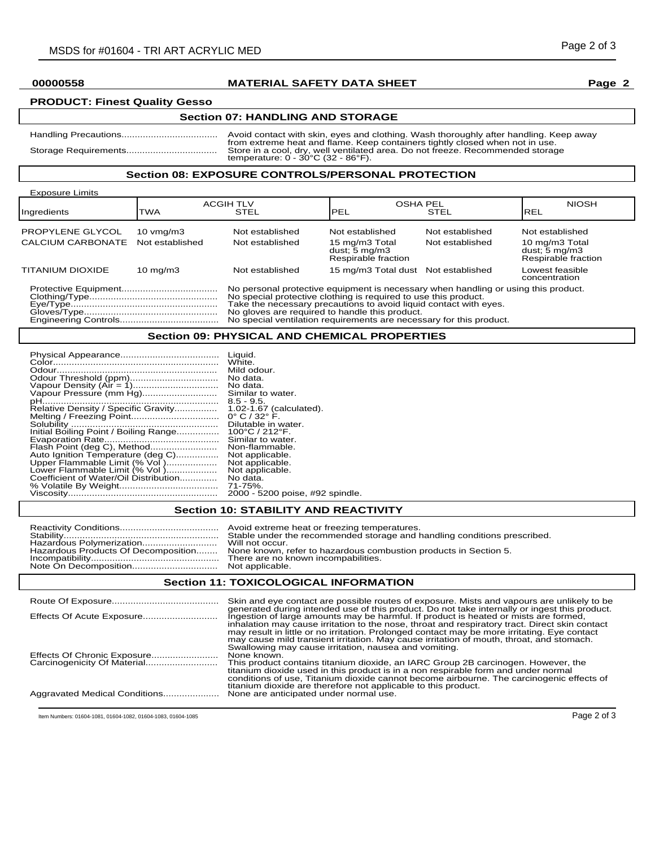## **00000558 MATERIAL SAFETY DATA SHEET Page 2**

# **PRODUCT: Finest Quality Gesso**

## **Section 07: HANDLING AND STORAGE**

| Avoid contact with skin, eyes and clothing. Wash thoroughly after handling. Keep away                                                                                                                                     |
|---------------------------------------------------------------------------------------------------------------------------------------------------------------------------------------------------------------------------|
| from extreme heat and flame. Keep containers tightly closed when not in use.<br>Store in a cool, dry, well ventilated area. Do not freeze. Recommended storage<br>temperature: $0 - 30^{\circ}$ C (32 - 86 $^{\circ}$ F). |
|                                                                                                                                                                                                                           |

#### **Section 08: EXPOSURE CONTROLS/PERSONAL PROTECTION**

| <b>Exposure Limits</b>  |                      |                                                                                                                                                                                                                                                                                                                                                     |                                                                   |                 |                                                                                   |
|-------------------------|----------------------|-----------------------------------------------------------------------------------------------------------------------------------------------------------------------------------------------------------------------------------------------------------------------------------------------------------------------------------------------------|-------------------------------------------------------------------|-----------------|-----------------------------------------------------------------------------------|
| Ingredients             | <b>TWA</b>           | <b>ACGIH TLV</b><br><b>STEL</b>                                                                                                                                                                                                                                                                                                                     | <b>OSHA PEL</b><br>PEL                                            | <b>STEL</b>     | <b>NIOSH</b><br>IREL                                                              |
| PROPYLENE GLYCOL        | $10 \text{ vmq/m}$ 3 | Not established                                                                                                                                                                                                                                                                                                                                     | Not established                                                   | Not established | Not established                                                                   |
| CALCIUM CARBONATE       | Not established      | Not established                                                                                                                                                                                                                                                                                                                                     | 15 mg/m3 Total<br>dust; $5 \text{ mg/m}$ 3<br>Respirable fraction | Not established | 10 mg/m3 Total<br>dust; $\overline{5}$ mg/m $\overline{3}$<br>Respirable fraction |
| <b>TITANIUM DIOXIDE</b> | $10 \text{ mg/m}$    | Not established                                                                                                                                                                                                                                                                                                                                     | 15 mg/m3 Total dust Not established                               |                 | Lowest feasible<br>concentration                                                  |
|                         |                      | No personal protective equipment is necessary when handling or using this product.<br>No special protective clothing is required to use this product.<br>Take the necessary precautions to avoid liquid contact with eyes.<br>No gloves are required to handle this product.<br>No special ventilation requirements are necessary for this product. |                                                                   |                 |                                                                                   |

### **Section 09: PHYSICAL AND CHEMICAL PROPERTIES**

|                                       | Liquid.<br>White.                   |
|---------------------------------------|-------------------------------------|
|                                       | Mild odour.                         |
|                                       | No data.                            |
|                                       | No data.                            |
| Vapour Pressure (mm Hg)               | Similar to water.                   |
|                                       | $8.5 - 9.5$                         |
| Relative Density / Specific Gravity   | 1.02-1.67 (calculated).             |
|                                       | $0^{\circ}$ C / 32 $^{\circ}$ F.    |
|                                       | Dilutable in water.                 |
| Initial Boiling Point / Boiling Range | $100^{\circ}$ C / 212 $^{\circ}$ F. |
|                                       | Similar to water.                   |
| Flash Point (deg C), Method           | Non-flammable.                      |
| Auto Ignition Temperature (deg C)     | Not applicable.                     |
| Upper Flammable Limit (% Vol)         | Not applicable.                     |
| Lower Flammable Limit (% Vol)         | Not applicable.                     |
| Coefficient of Water/Oil Distribution | No data.                            |
|                                       | 71-75%.                             |
|                                       | 2000 - 5200 poise, #92 spindle.     |

# **Section 10: STABILITY AND REACTIVITY**

|  | Stable under the recommended storage and handling conditions prescribed.<br>Will not occur.<br>Hazardous Products Of Decomposition None known, refer to hazardous combustion products in Section 5.<br>There are no known incompabilities. |
|--|--------------------------------------------------------------------------------------------------------------------------------------------------------------------------------------------------------------------------------------------|
|--|--------------------------------------------------------------------------------------------------------------------------------------------------------------------------------------------------------------------------------------------|

## **Section 11: TOXICOLOGICAL INFORMATION**

|                               | Skin and eye contact are possible routes of exposure. Mists and vapours are unlikely to be<br>generated during intended use of this product. Do not take internally or ingest this product.<br>Ingestion of large amounts may be harmful. If product is heated or mists are formed,<br>inhalation may cause irritation to the nose, throat and respiratory tract. Direct skin contact<br>may result in little or no irritation. Prolonged contact may be more irritating. Eye contact<br>may cause mild transient irritation. May cause irritation of mouth, throat, and stomach.<br>Swallowing may cause irritation, nausea and vomiting. |
|-------------------------------|--------------------------------------------------------------------------------------------------------------------------------------------------------------------------------------------------------------------------------------------------------------------------------------------------------------------------------------------------------------------------------------------------------------------------------------------------------------------------------------------------------------------------------------------------------------------------------------------------------------------------------------------|
|                               | None known.<br>This product contains titanium dioxide, an IARC Group 2B carcinogen. However, the<br>titanium dioxide used in this product is in a non respirable form and under normal<br>conditions of use, Titanium dioxide cannot become airbourne. The carcinogenic effects of                                                                                                                                                                                                                                                                                                                                                         |
| Aggravated Medical Conditions | titanium dioxide are therefore not applicable to this product.<br>None are anticipated under normal use.                                                                                                                                                                                                                                                                                                                                                                                                                                                                                                                                   |

Item Numbers: 01604-1081, 01604-1082, 01604-1083, 01604-1085 **Page 2 of 3** and 2011 11 and 2012 11 and 2012 12 and 2012 12 and 2012 12 and 2012 12 and 2012 12 and 2013 **Page 2 of 3**